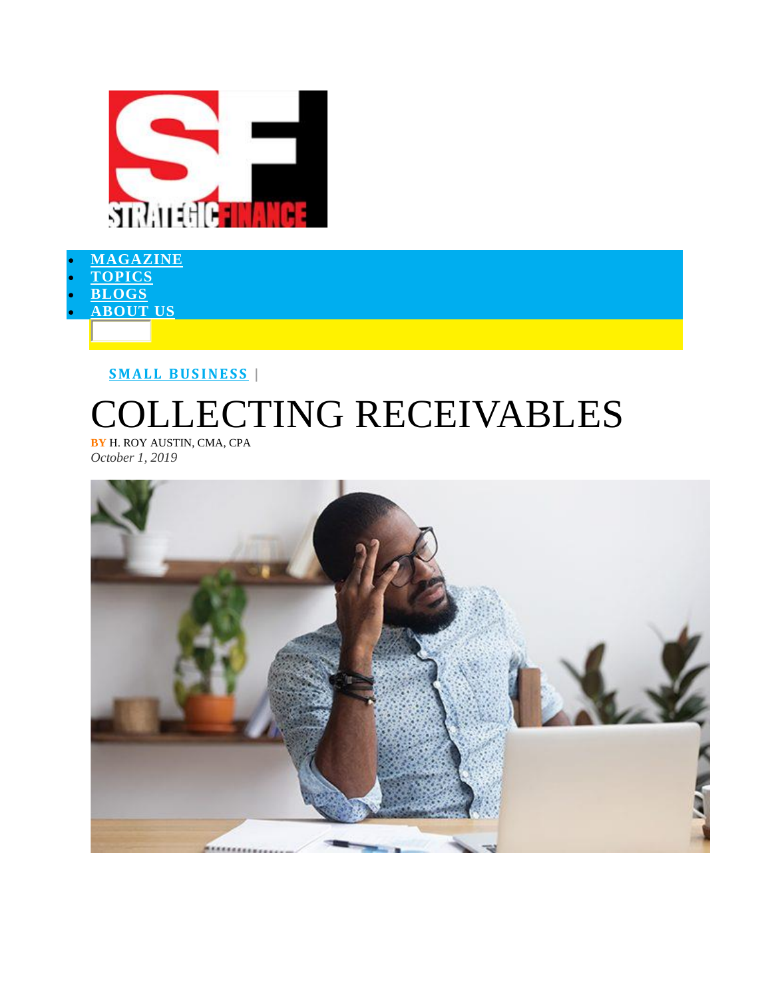

- **[MAGAZINE](https://sfmagazine.com/post-entry/october-2019-collecting-receivables/)** • **[TOPICS](https://sfmagazine.com/post-entry/october-2019-collecting-receivables/)**
- **[BLOGS](https://sfmagazine.com/post-entry/october-2019-collecting-receivables/)**
- **[ABOUT](https://sfmagazine.com/post-entry/october-2019-collecting-receivables/) US**

**S M A L L [B U S I N E S S](https://sfmagazine.com/topic/small-business/) |**

## **ECTING RECEIVABLES**

**BY** H. ROY AUSTIN, CMA, CPA *October 1, 2019*

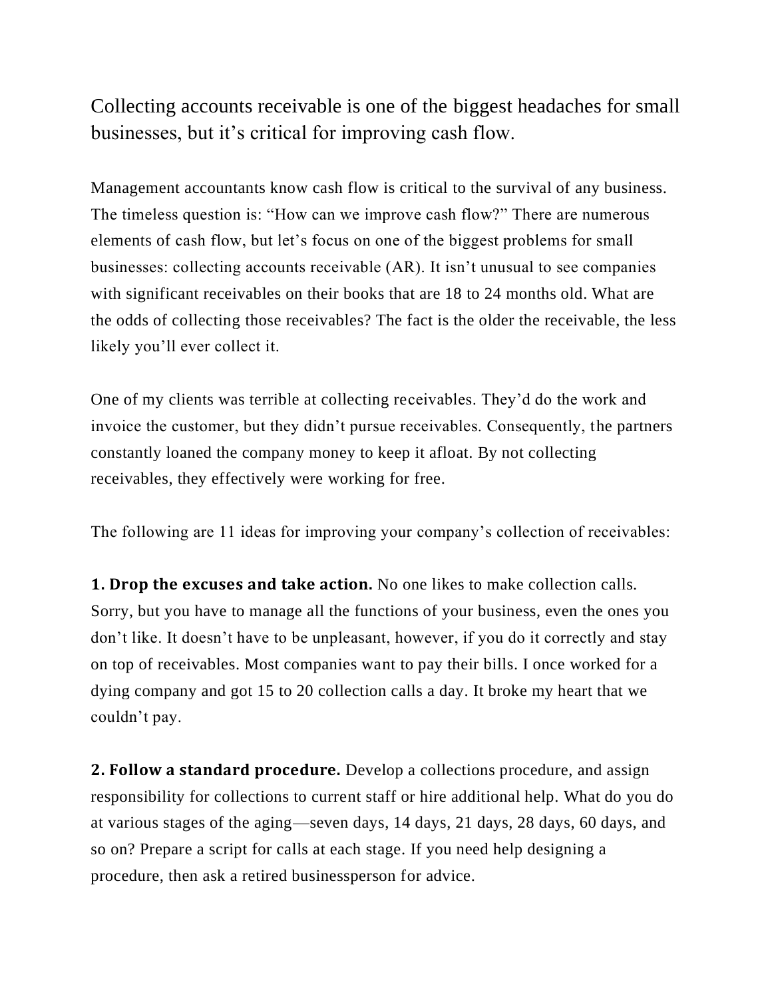Collecting accounts receivable is one of the biggest headaches for small businesses, but it's critical for improving cash flow.

Management accountants know cash flow is critical to the survival of any business. The timeless question is: "How can we improve cash flow?" There are numerous elements of cash flow, but let's focus on one of the biggest problems for small businesses: collecting accounts receivable (AR). It isn't unusual to see companies with significant receivables on their books that are 18 to 24 months old. What are the odds of collecting those receivables? The fact is the older the receivable, the less likely you'll ever collect it.

One of my clients was terrible at collecting receivables. They'd do the work and invoice the customer, but they didn't pursue receivables. Consequently, the partners constantly loaned the company money to keep it afloat. By not collecting receivables, they effectively were working for free.

The following are 11 ideas for improving your company's collection of receivables:

**1. Drop the excuses and take action.** No one likes to make collection calls. Sorry, but you have to manage all the functions of your business, even the ones you don't like. It doesn't have to be unpleasant, however, if you do it correctly and stay on top of receivables. Most companies want to pay their bills. I once worked for a dying company and got 15 to 20 collection calls a day. It broke my heart that we couldn't pay.

**2. Follow a standard procedure.** Develop a collections procedure, and assign responsibility for collections to current staff or hire additional help. What do you do at various stages of the aging—seven days, 14 days, 21 days, 28 days, 60 days, and so on? Prepare a script for calls at each stage. If you need help designing a procedure, then ask a retired businessperson for advice.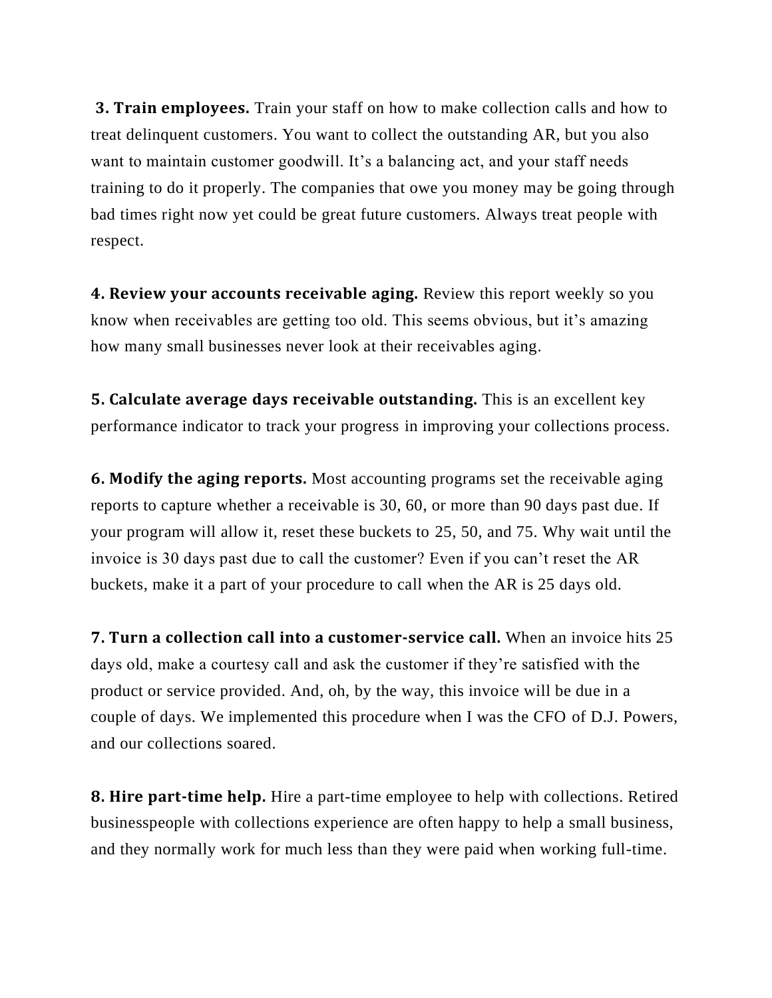**3. Train employees.** Train your staff on how to make collection calls and how to treat delinquent customers. You want to collect the outstanding AR, but you also want to maintain customer goodwill. It's a balancing act, and your staff needs training to do it properly. The companies that owe you money may be going through bad times right now yet could be great future customers. Always treat people with respect.

**4. Review your accounts receivable aging.** Review this report weekly so you know when receivables are getting too old. This seems obvious, but it's amazing how many small businesses never look at their receivables aging.

**5. Calculate average days receivable outstanding.** This is an excellent key performance indicator to track your progress in improving your collections process.

**6. Modify the aging reports.** Most accounting programs set the receivable aging reports to capture whether a receivable is 30, 60, or more than 90 days past due. If your program will allow it, reset these buckets to 25, 50, and 75. Why wait until the invoice is 30 days past due to call the customer? Even if you can't reset the AR buckets, make it a part of your procedure to call when the AR is 25 days old.

**7. Turn a collection call into a customer-service call.** When an invoice hits 25 days old, make a courtesy call and ask the customer if they're satisfied with the product or service provided. And, oh, by the way, this invoice will be due in a couple of days. We implemented this procedure when I was the CFO of D.J. Powers, and our collections soared.

**8. Hire part-time help.** Hire a part-time employee to help with collections. Retired businesspeople with collections experience are often happy to help a small business, and they normally work for much less than they were paid when working full-time.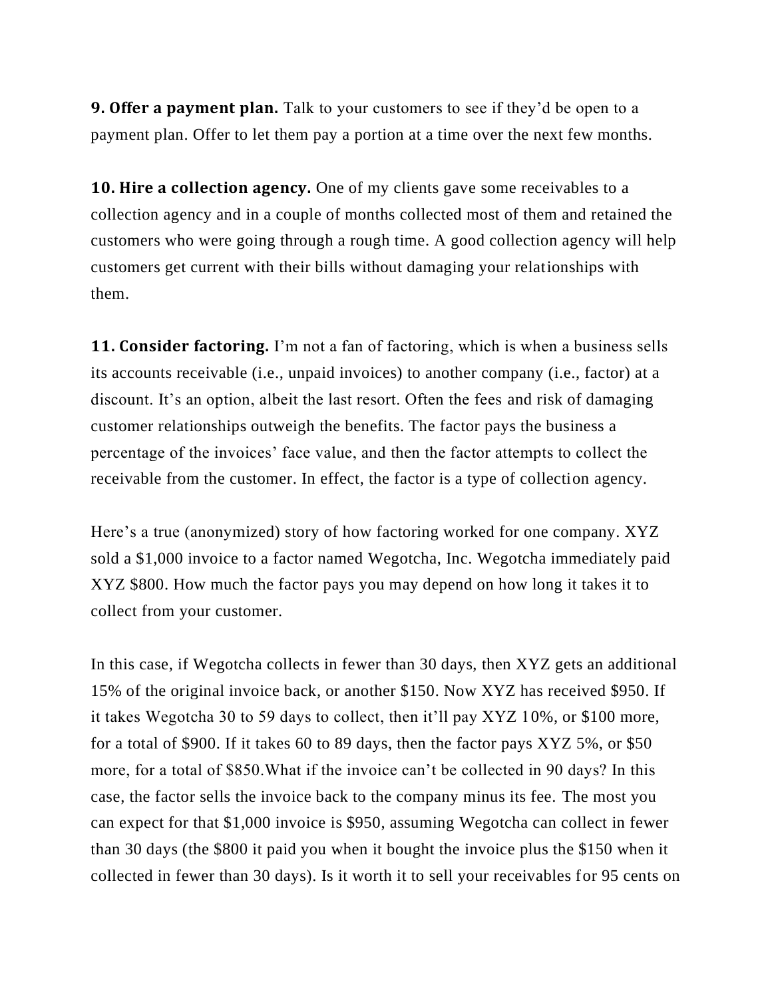**9. Offer a payment plan.** Talk to your customers to see if they'd be open to a payment plan. Offer to let them pay a portion at a time over the next few months.

**10. Hire a collection agency.** One of my clients gave some receivables to a collection agency and in a couple of months collected most of them and retained the customers who were going through a rough time. A good collection agency will help customers get current with their bills without damaging your relationships with them.

**11. Consider factoring.** I'm not a fan of factoring, which is when a business sells its accounts receivable (i.e., unpaid invoices) to another company (i.e., factor) at a discount. It's an option, albeit the last resort. Often the fees and risk of damaging customer relationships outweigh the benefits. The factor pays the business a percentage of the invoices' face value, and then the factor attempts to collect the receivable from the customer. In effect, the factor is a type of collection agency.

Here's a true (anonymized) story of how factoring worked for one company. XYZ sold a \$1,000 invoice to a factor named Wegotcha, Inc. Wegotcha immediately paid XYZ \$800. How much the factor pays you may depend on how long it takes it to collect from your customer.

In this case, if Wegotcha collects in fewer than 30 days, then XYZ gets an additional 15% of the original invoice back, or another \$150. Now XYZ has received \$950. If it takes Wegotcha 30 to 59 days to collect, then it'll pay XYZ 10%, or \$100 more, for a total of \$900. If it takes 60 to 89 days, then the factor pays XYZ 5%, or \$50 more, for a total of \$850.What if the invoice can't be collected in 90 days? In this case, the factor sells the invoice back to the company minus its fee. The most you can expect for that \$1,000 invoice is \$950, assuming Wegotcha can collect in fewer than 30 days (the \$800 it paid you when it bought the invoice plus the \$150 when it collected in fewer than 30 days). Is it worth it to sell your receivables for 95 cents on